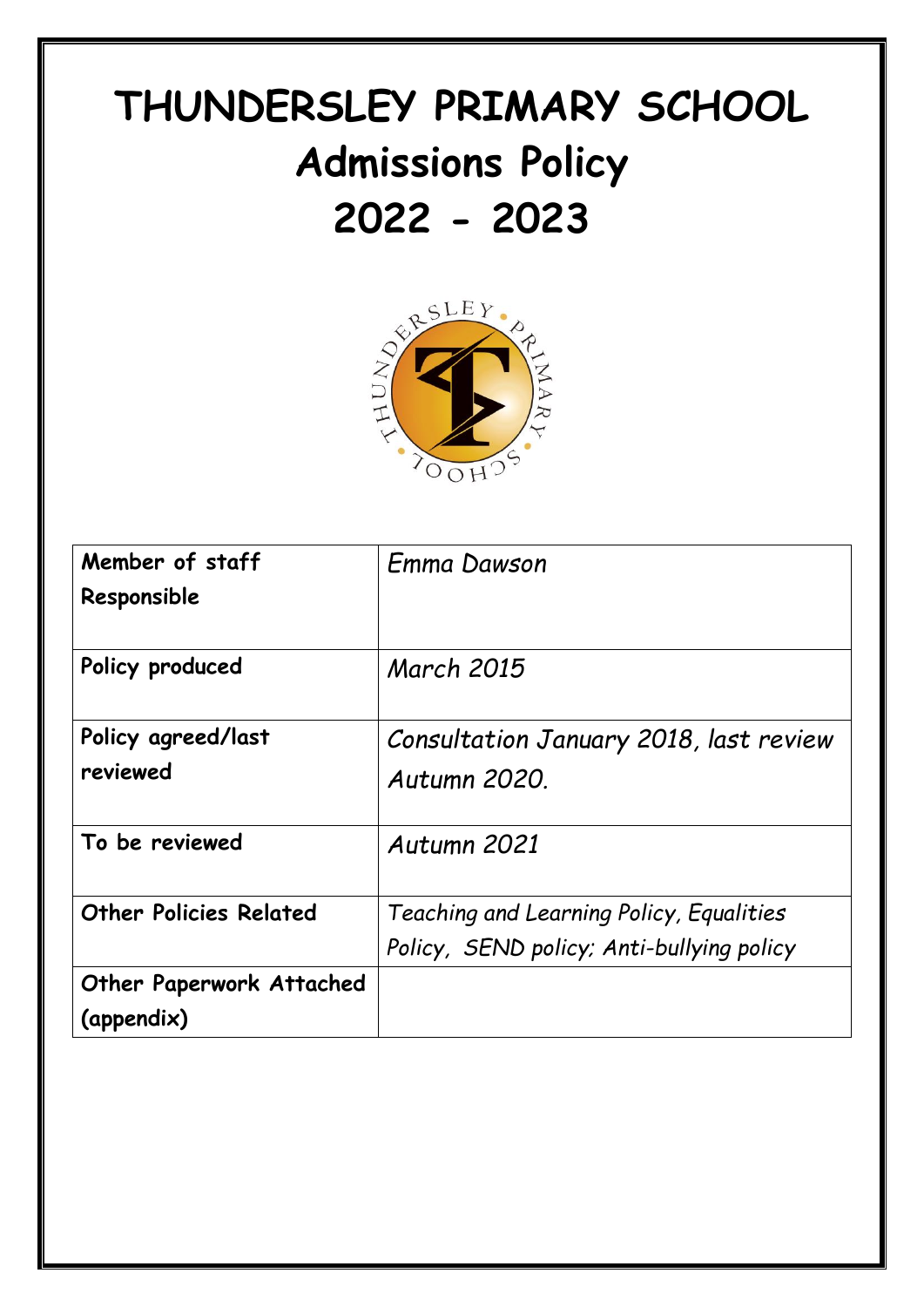# **THUNDERSLEY PRIMARY SCHOOL Admissions Policy**



| Member of staff                 | <b>Emma Dawson</b>                        |
|---------------------------------|-------------------------------------------|
| Responsible                     |                                           |
| Policy produced                 | <b>March 2015</b>                         |
| Policy agreed/last              | Consultation January 2018, last review    |
| reviewed                        | Autumn 2020.                              |
| To be reviewed                  | Autumn 2021                               |
| <b>Other Policies Related</b>   | Teaching and Learning Policy, Equalities  |
|                                 | Policy, SEND policy; Anti-bullying policy |
| <b>Other Paperwork Attached</b> |                                           |
| (appendix)                      |                                           |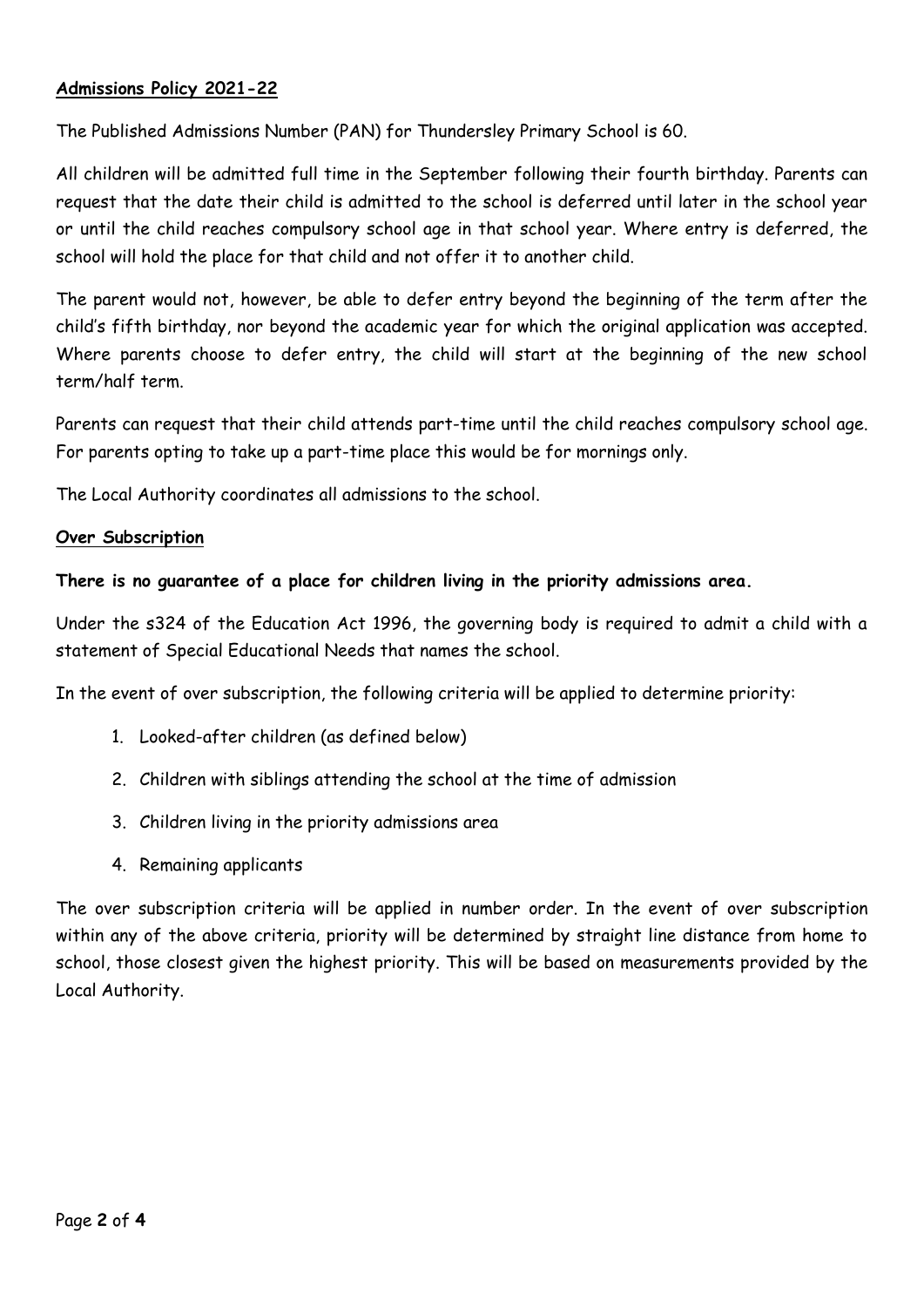# **Admissions Policy 2021-22**

The Published Admissions Number (PAN) for Thundersley Primary School is 60.

All children will be admitted full time in the September following their fourth birthday. Parents can request that the date their child is admitted to the school is deferred until later in the school year or until the child reaches compulsory school age in that school year. Where entry is deferred, the school will hold the place for that child and not offer it to another child.

The parent would not, however, be able to defer entry beyond the beginning of the term after the child's fifth birthday, nor beyond the academic year for which the original application was accepted. Where parents choose to defer entry, the child will start at the beginning of the new school term/half term.

Parents can request that their child attends part-time until the child reaches compulsory school age. For parents opting to take up a part-time place this would be for mornings only.

The Local Authority coordinates all admissions to the school.

#### **Over Subscription**

## **There is no guarantee of a place for children living in the priority admissions area.**

Under the s324 of the Education Act 1996, the governing body is required to admit a child with a statement of Special Educational Needs that names the school.

In the event of over subscription, the following criteria will be applied to determine priority:

- 1. Looked-after children (as defined below)
- 2. Children with siblings attending the school at the time of admission
- 3. Children living in the priority admissions area
- 4. Remaining applicants

The over subscription criteria will be applied in number order. In the event of over subscription within any of the above criteria, priority will be determined by straight line distance from home to school, those closest given the highest priority. This will be based on measurements provided by the Local Authority.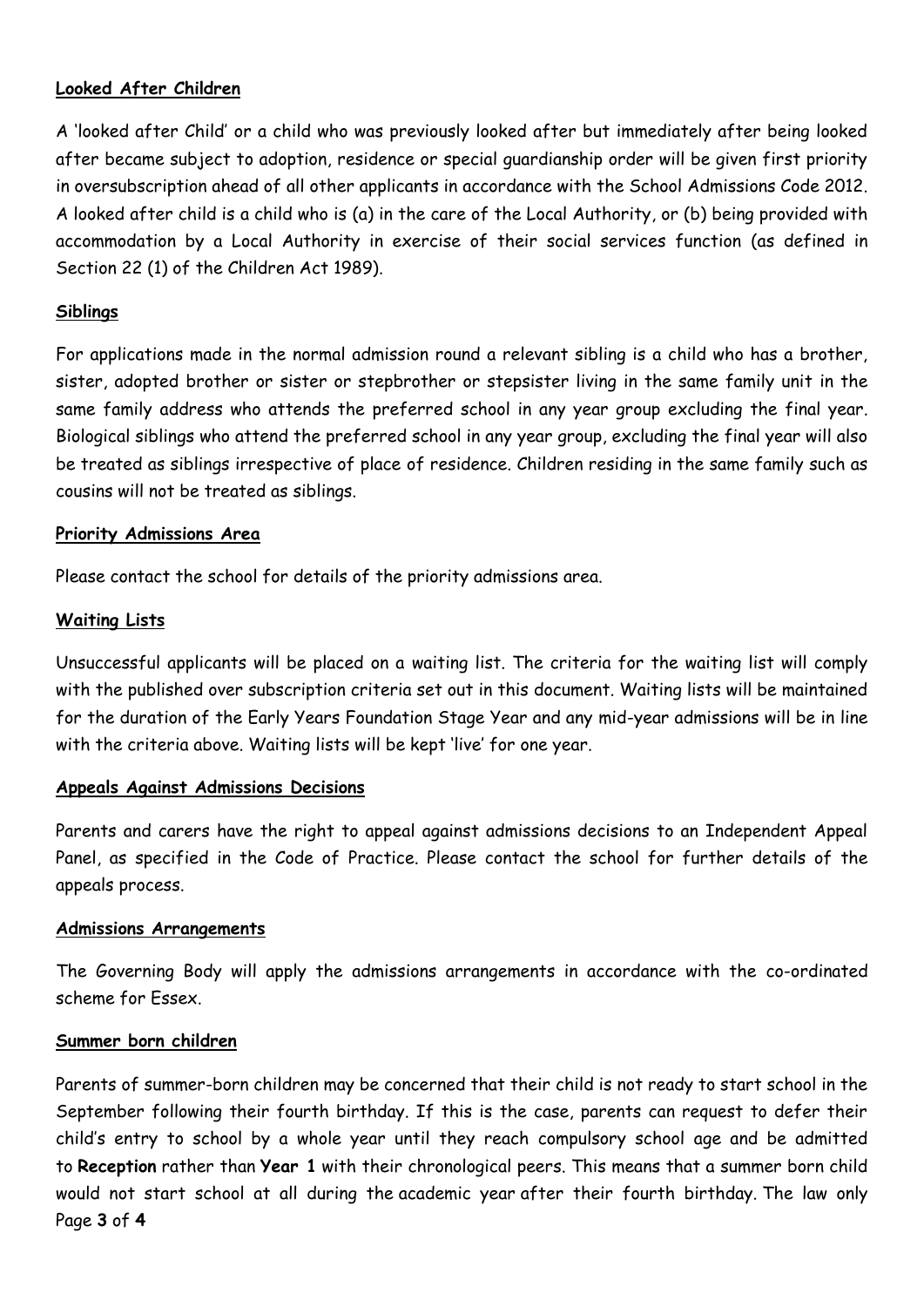# **Looked After Children**

A 'looked after Child' or a child who was previously looked after but immediately after being looked after became subject to adoption, residence or special guardianship order will be given first priority in oversubscription ahead of all other applicants in accordance with the School Admissions Code 2012. A looked after child is a child who is (a) in the care of the Local Authority, or (b) being provided with accommodation by a Local Authority in exercise of their social services function (as defined in Section 22 (1) of the Children Act 1989).

# **Siblings**

For applications made in the normal admission round a relevant sibling is a child who has a brother, sister, adopted brother or sister or stepbrother or stepsister living in the same family unit in the same family address who attends the preferred school in any year group excluding the final year. Biological siblings who attend the preferred school in any year group, excluding the final year will also be treated as siblings irrespective of place of residence. Children residing in the same family such as cousins will not be treated as siblings.

#### **Priority Admissions Area**

Please contact the school for details of the priority admissions area.

#### **Waiting Lists**

Unsuccessful applicants will be placed on a waiting list. The criteria for the waiting list will comply with the published over subscription criteria set out in this document. Waiting lists will be maintained for the duration of the Early Years Foundation Stage Year and any mid-year admissions will be in line with the criteria above. Waiting lists will be kept 'live' for one year.

## **Appeals Against Admissions Decisions**

Parents and carers have the right to appeal against admissions decisions to an Independent Appeal Panel, as specified in the Code of Practice. Please contact the school for further details of the appeals process.

#### **Admissions Arrangements**

The Governing Body will apply the admissions arrangements in accordance with the co-ordinated scheme for Essex.

#### **Summer born children**

Page **3** of **4** Parents of summer-born children may be concerned that their child is not ready to start school in the September following their fourth birthday. If this is the case, parents can request to defer their child's entry to school by a whole year until they reach compulsory school age and be admitted to **Reception** rather than **Year 1** with their chronological peers. This means that a summer born child would not start school at all during the academic year after their fourth birthday. The law only